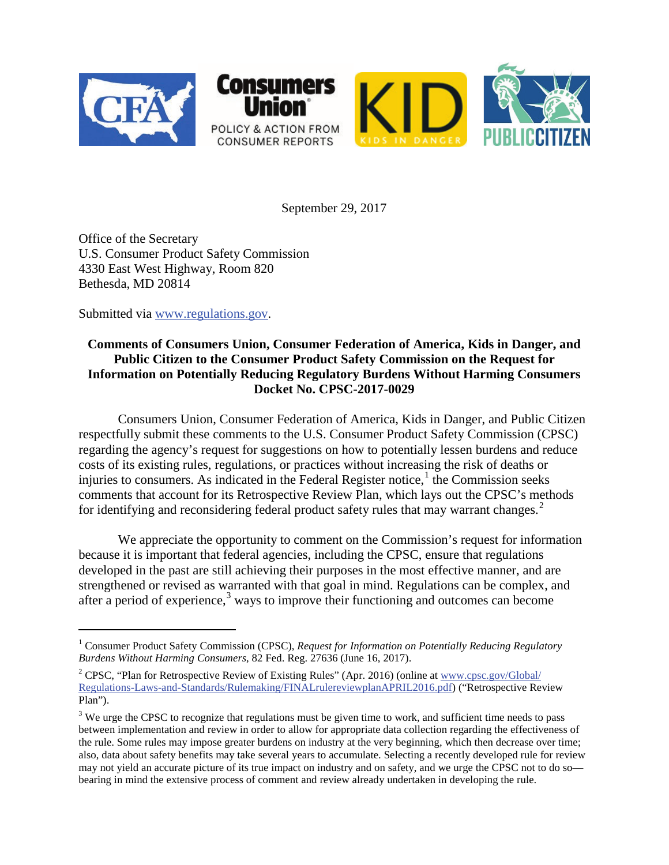

September 29, 2017

Office of the Secretary U.S. Consumer Product Safety Commission 4330 East West Highway, Room 820 Bethesda, MD 20814

Submitted via [www.regulations.gov.](http://www.regulations.gov/)

-

# **Comments of Consumers Union, Consumer Federation of America, Kids in Danger, and Public Citizen to the Consumer Product Safety Commission on the Request for Information on Potentially Reducing Regulatory Burdens Without Harming Consumers Docket No. CPSC-2017-0029**

Consumers Union, Consumer Federation of America, Kids in Danger, and Public Citizen respectfully submit these comments to the U.S. Consumer Product Safety Commission (CPSC) regarding the agency's request for suggestions on how to potentially lessen burdens and reduce costs of its existing rules, regulations, or practices without increasing the risk of deaths or injuries to consumers. As indicated in the Federal Register notice, $<sup>1</sup>$  $<sup>1</sup>$  $<sup>1</sup>$  the Commission seeks</sup> comments that account for its Retrospective Review Plan, which lays out the CPSC's methods for identifying and reconsidering federal product safety rules that may warrant changes.<sup>[2](#page-0-1)</sup>

We appreciate the opportunity to comment on the Commission's request for information because it is important that federal agencies, including the CPSC, ensure that regulations developed in the past are still achieving their purposes in the most effective manner, and are strengthened or revised as warranted with that goal in mind. Regulations can be complex, and after a period of experience, $3$  ways to improve their functioning and outcomes can become

<span id="page-0-0"></span><sup>&</sup>lt;sup>1</sup> Consumer Product Safety Commission (CPSC), *Request for Information on Potentially Reducing Regulatory Burdens Without Harming Consumers,* 82 Fed. Reg. 27636 (June 16, 2017).

<span id="page-0-1"></span><sup>&</sup>lt;sup>2</sup> CPSC, "Plan for Retrospective Review of Existing Rules" (Apr. 2016) (online at [www.cpsc.gov/Global/](http://www.cpsc.gov/Global/Regulations-Laws-and-Standards/Rulemaking/FINALrulereviewplanAPRIL2016.pdf) [Regulations-Laws-and-Standards/Rulemaking/FINALrulereviewplanAPRIL2016.pdf\)](http://www.cpsc.gov/Global/Regulations-Laws-and-Standards/Rulemaking/FINALrulereviewplanAPRIL2016.pdf) ("Retrospective Review Plan").

<span id="page-0-2"></span><sup>&</sup>lt;sup>3</sup> We urge the CPSC to recognize that regulations must be given time to work, and sufficient time needs to pass between implementation and review in order to allow for appropriate data collection regarding the effectiveness of the rule. Some rules may impose greater burdens on industry at the very beginning, which then decrease over time; also, data about safety benefits may take several years to accumulate. Selecting a recently developed rule for review may not yield an accurate picture of its true impact on industry and on safety, and we urge the CPSC not to do so bearing in mind the extensive process of comment and review already undertaken in developing the rule.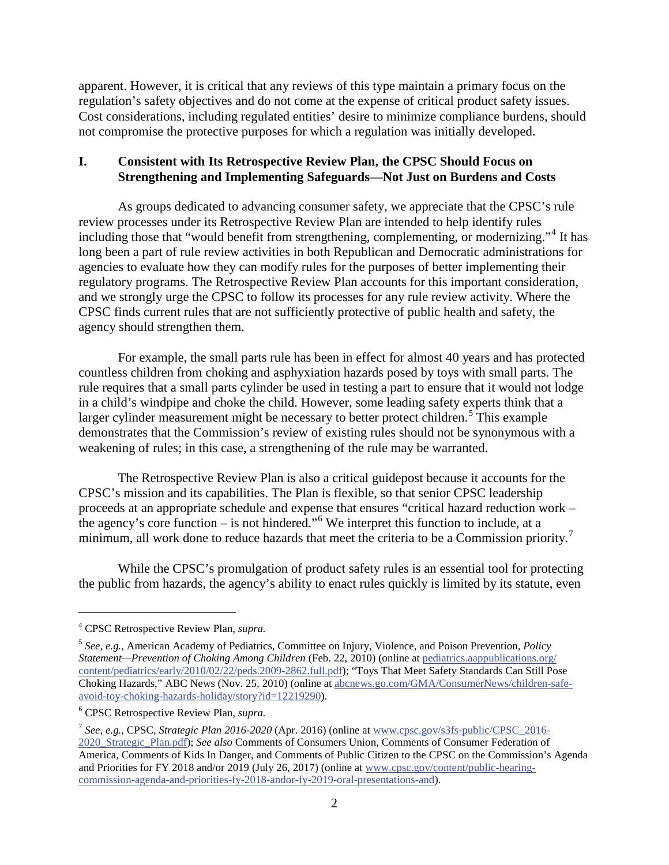apparent. However, it is critical that any reviews of this type maintain a primary focus on the regulation's safety objectives and do not come at the expense of critical product safety issues. Cost considerations, including regulated entities' desire to minimize compliance burdens, should not compromise the protective purposes for which a regulation was initially developed.

### **I. Consistent with Its Retrospective Review Plan, the CPSC Should Focus on Strengthening and Implementing Safeguards—Not Just on Burdens and Costs**

As groups dedicated to advancing consumer safety, we appreciate that the CPSC's rule review processes under its Retrospective Review Plan are intended to help identify rules including those that "would benefit from strengthening, complementing, or modernizing."<sup>[4](#page-1-0)</sup> It has long been a part of rule review activities in both Republican and Democratic administrations for agencies to evaluate how they can modify rules for the purposes of better implementing their regulatory programs. The Retrospective Review Plan accounts for this important consideration, and we strongly urge the CPSC to follow its processes for any rule review activity. Where the CPSC finds current rules that are not sufficiently protective of public health and safety, the agency should strengthen them.

For example, the small parts rule has been in effect for almost 40 years and has protected countless children from choking and asphyxiation hazards posed by toys with small parts. The rule requires that a small parts cylinder be used in testing a part to ensure that it would not lodge in a child's windpipe and choke the child. However, some leading safety experts think that a larger cylinder measurement might be necessary to better protect children.<sup>[5](#page-1-1)</sup> This example demonstrates that the Commission's review of existing rules should not be synonymous with a weakening of rules; in this case, a strengthening of the rule may be warranted.

The Retrospective Review Plan is also a critical guidepost because it accounts for the CPSC's mission and its capabilities. The Plan is flexible, so that senior CPSC leadership proceeds at an appropriate schedule and expense that ensures "critical hazard reduction work – the agency's core function  $-$  is not hindered."<sup>[6](#page-1-2)</sup> We interpret this function to include, at a minimum, all work done to reduce hazards that meet the criteria to be a Commission priority.<sup>[7](#page-1-3)</sup>

While the CPSC's promulgation of product safety rules is an essential tool for protecting the public from hazards, the agency's ability to enact rules quickly is limited by its statute, even

 $\overline{a}$ 

<span id="page-1-0"></span><sup>4</sup> CPSC Retrospective Review Plan, *supra.*

<span id="page-1-1"></span><sup>5</sup> *See, e.g.*, American Academy of Pediatrics, Committee on Injury, Violence, and Poison Prevention, *Policy Statement—Prevention of Choking Among Children* (Feb. 22, 2010) (online at [pediatrics.aappublications.org/](http://pediatrics.aappublications.org/content/pediatrics/early/2010/02/22/peds.2009-2862.full.pdf) [content/pediatrics/early/2010/02/22/peds.2009-2862.full.pdf\)](http://pediatrics.aappublications.org/content/pediatrics/early/2010/02/22/peds.2009-2862.full.pdf); "Toys That Meet Safety Standards Can Still Pose Choking Hazards," ABC News (Nov. 25, 2010) (online at [abcnews.go.com/GMA/ConsumerNews/children-safe](http://abcnews.go.com/GMA/ConsumerNews/children-safe-avoid-toy-choking-hazards-holiday/story?id=12219290)[avoid-toy-choking-hazards-holiday/story?id=12219290\)](http://abcnews.go.com/GMA/ConsumerNews/children-safe-avoid-toy-choking-hazards-holiday/story?id=12219290).

<span id="page-1-2"></span><sup>6</sup> CPSC Retrospective Review Plan, *supra.*

<span id="page-1-3"></span><sup>7</sup> *See, e.g.*, CPSC, *Strategic Plan 2016-2020* (Apr. 2016) (online a[t www.cpsc.gov/s3fs-public/CPSC\\_2016-](https://www.cpsc.gov/s3fs-public/CPSC_2016-2020_Strategic_Plan.pdf) [2020\\_Strategic\\_Plan.pdf\)](https://www.cpsc.gov/s3fs-public/CPSC_2016-2020_Strategic_Plan.pdf); *See also* Comments of Consumers Union, Comments of Consumer Federation of America, Comments of Kids In Danger, and Comments of Public Citizen to the CPSC on the Commission's Agenda and Priorities for FY 2018 and/or 2019 (July 26, 2017) (online at [www.cpsc.gov/content/public-hearing](http://www.cpsc.gov/content/public-hearing-commission-agenda-and-priorities-fy-2018-andor-fy-2019-oral-presentations-and)[commission-agenda-and-priorities-fy-2018-andor-fy-2019-oral-presentations-and\)](http://www.cpsc.gov/content/public-hearing-commission-agenda-and-priorities-fy-2018-andor-fy-2019-oral-presentations-and).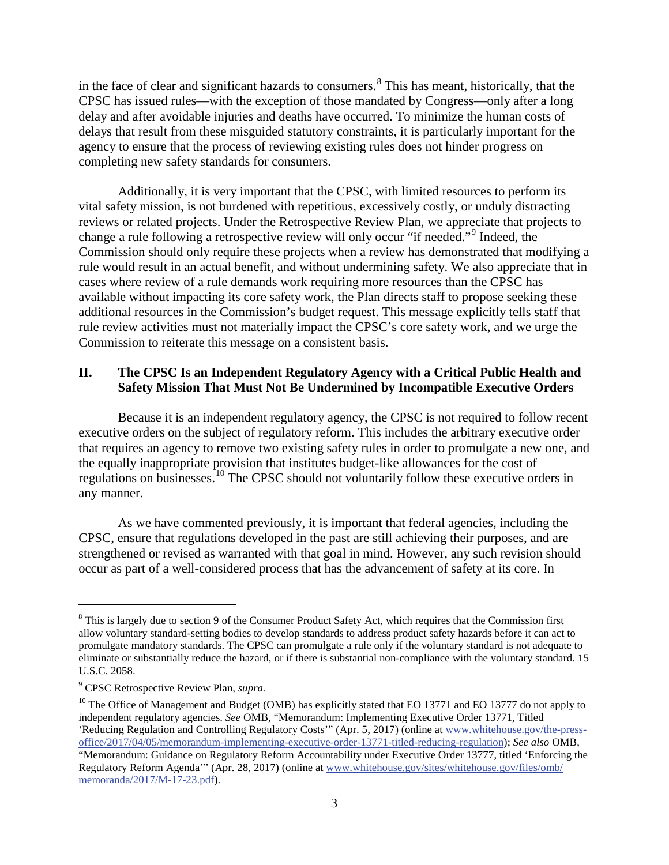in the face of clear and significant hazards to consumers.<sup>[8](#page-2-0)</sup> This has meant, historically, that the CPSC has issued rules—with the exception of those mandated by Congress—only after a long delay and after avoidable injuries and deaths have occurred. To minimize the human costs of delays that result from these misguided statutory constraints, it is particularly important for the agency to ensure that the process of reviewing existing rules does not hinder progress on completing new safety standards for consumers.

Additionally, it is very important that the CPSC, with limited resources to perform its vital safety mission, is not burdened with repetitious, excessively costly, or unduly distracting reviews or related projects. Under the Retrospective Review Plan, we appreciate that projects to change a rule following a retrospective review will only occur "if needed."<sup>[9](#page-2-1)</sup> Indeed, the Commission should only require these projects when a review has demonstrated that modifying a rule would result in an actual benefit, and without undermining safety. We also appreciate that in cases where review of a rule demands work requiring more resources than the CPSC has available without impacting its core safety work, the Plan directs staff to propose seeking these additional resources in the Commission's budget request. This message explicitly tells staff that rule review activities must not materially impact the CPSC's core safety work, and we urge the Commission to reiterate this message on a consistent basis.

# **II. The CPSC Is an Independent Regulatory Agency with a Critical Public Health and Safety Mission That Must Not Be Undermined by Incompatible Executive Orders**

Because it is an independent regulatory agency, the CPSC is not required to follow recent executive orders on the subject of regulatory reform. This includes the arbitrary executive order that requires an agency to remove two existing safety rules in order to promulgate a new one, and the equally inappropriate provision that institutes budget-like allowances for the cost of regulations on businesses.[10](#page-2-2) The CPSC should not voluntarily follow these executive orders in any manner.

As we have commented previously, it is important that federal agencies, including the CPSC, ensure that regulations developed in the past are still achieving their purposes, and are strengthened or revised as warranted with that goal in mind. However, any such revision should occur as part of a well-considered process that has the advancement of safety at its core. In

 $\ddot{\phantom{a}}$ 

<span id="page-2-0"></span><sup>&</sup>lt;sup>8</sup> This is largely due to section 9 of the Consumer Product Safety Act, which requires that the Commission first allow voluntary standard-setting bodies to develop standards to address product safety hazards before it can act to promulgate mandatory standards. The CPSC can promulgate a rule only if the voluntary standard is not adequate to eliminate or substantially reduce the hazard, or if there is substantial non-compliance with the voluntary standard. 15 U.S.C. 2058.

<span id="page-2-1"></span><sup>9</sup> CPSC Retrospective Review Plan, *supra.* 

<span id="page-2-2"></span><sup>&</sup>lt;sup>10</sup> The Office of Management and Budget (OMB) has explicitly stated that EO 13771 and EO 13777 do not apply to independent regulatory agencies. *See* OMB, "Memorandum: Implementing Executive Order 13771, Titled 'Reducing Regulation and Controlling Regulatory Costs'" (Apr. 5, 2017) (online at [www.whitehouse.gov/the-press](http://www.whitehouse.gov/the-press-office/2017/04/05/memorandum-implementing-executive-order-13771-titled-reducing-regulation)[office/2017/04/05/memorandum-implementing-executive-order-13771-titled-reducing-regulation\)](http://www.whitehouse.gov/the-press-office/2017/04/05/memorandum-implementing-executive-order-13771-titled-reducing-regulation); *See also* OMB, "Memorandum: Guidance on Regulatory Reform Accountability under Executive Order 13777, titled 'Enforcing the Regulatory Reform Agenda'" (Apr. 28, 2017) (online a[t www.whitehouse.gov/sites/whitehouse.gov/files/omb/](http://www.whitehouse.gov/sites/whitehouse.gov/files/omb/memoranda/2017/M-17-23.pdf) [memoranda/2017/M-17-23.pdf\)](http://www.whitehouse.gov/sites/whitehouse.gov/files/omb/memoranda/2017/M-17-23.pdf).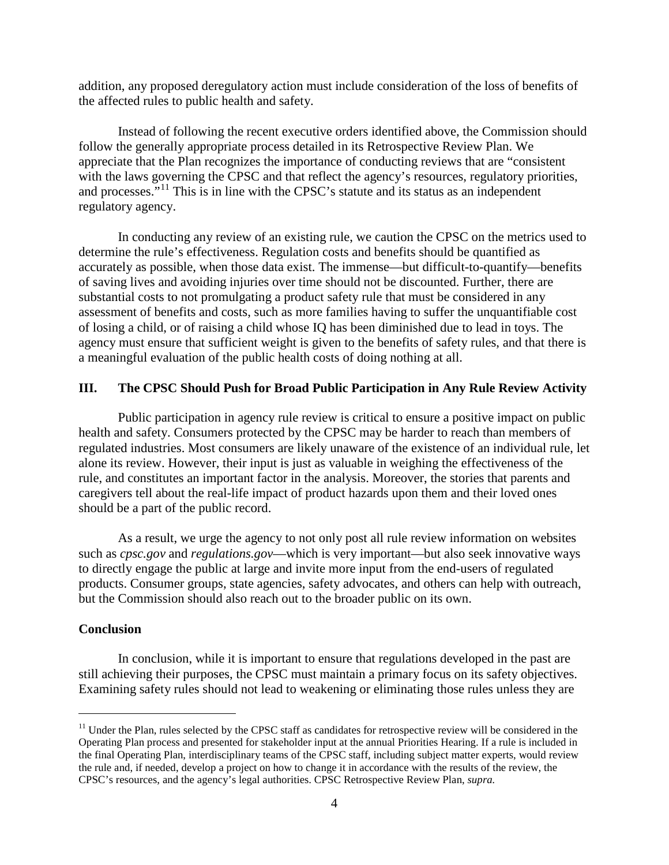addition, any proposed deregulatory action must include consideration of the loss of benefits of the affected rules to public health and safety.

Instead of following the recent executive orders identified above, the Commission should follow the generally appropriate process detailed in its Retrospective Review Plan. We appreciate that the Plan recognizes the importance of conducting reviews that are "consistent with the laws governing the CPSC and that reflect the agency's resources, regulatory priorities, and processes."<sup>[11](#page-3-0)</sup> This is in line with the CPSC's statute and its status as an independent regulatory agency.

In conducting any review of an existing rule, we caution the CPSC on the metrics used to determine the rule's effectiveness. Regulation costs and benefits should be quantified as accurately as possible, when those data exist. The immense—but difficult-to-quantify—benefits of saving lives and avoiding injuries over time should not be discounted. Further, there are substantial costs to not promulgating a product safety rule that must be considered in any assessment of benefits and costs, such as more families having to suffer the unquantifiable cost of losing a child, or of raising a child whose IQ has been diminished due to lead in toys. The agency must ensure that sufficient weight is given to the benefits of safety rules, and that there is a meaningful evaluation of the public health costs of doing nothing at all.

#### **III. The CPSC Should Push for Broad Public Participation in Any Rule Review Activity**

Public participation in agency rule review is critical to ensure a positive impact on public health and safety. Consumers protected by the CPSC may be harder to reach than members of regulated industries. Most consumers are likely unaware of the existence of an individual rule, let alone its review. However, their input is just as valuable in weighing the effectiveness of the rule, and constitutes an important factor in the analysis. Moreover, the stories that parents and caregivers tell about the real-life impact of product hazards upon them and their loved ones should be a part of the public record.

As a result, we urge the agency to not only post all rule review information on websites such as *cpsc.gov* and *regulations.gov*—which is very important—but also seek innovative ways to directly engage the public at large and invite more input from the end-users of regulated products. Consumer groups, state agencies, safety advocates, and others can help with outreach, but the Commission should also reach out to the broader public on its own.

#### **Conclusion**

 $\overline{a}$ 

In conclusion, while it is important to ensure that regulations developed in the past are still achieving their purposes, the CPSC must maintain a primary focus on its safety objectives. Examining safety rules should not lead to weakening or eliminating those rules unless they are

<span id="page-3-0"></span><sup>&</sup>lt;sup>11</sup> Under the Plan, rules selected by the CPSC staff as candidates for retrospective review will be considered in the Operating Plan process and presented for stakeholder input at the annual Priorities Hearing. If a rule is included in the final Operating Plan, interdisciplinary teams of the CPSC staff, including subject matter experts, would review the rule and, if needed, develop a project on how to change it in accordance with the results of the review, the CPSC's resources, and the agency's legal authorities. CPSC Retrospective Review Plan, *supra.*